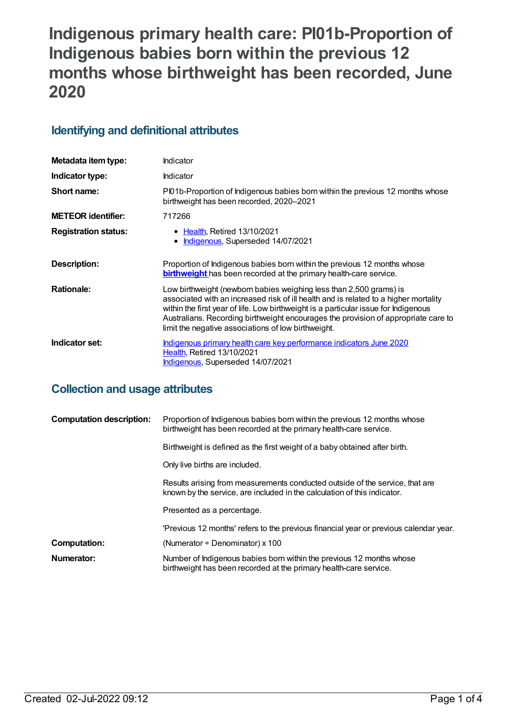# **Indigenous primary health care: PI01b-Proportion of Indigenous babies born within the previous 12 months whose birthweight has been recorded, June 2020**

## **Identifying and definitional attributes**

| Metadata item type:         | Indicator                                                                                                                                                                                                                                                                                                                                                                                      |
|-----------------------------|------------------------------------------------------------------------------------------------------------------------------------------------------------------------------------------------------------------------------------------------------------------------------------------------------------------------------------------------------------------------------------------------|
| Indicator type:             | Indicator                                                                                                                                                                                                                                                                                                                                                                                      |
| Short name:                 | Pl01b-Proportion of Indigenous babies born within the previous 12 months whose<br>birthweight has been recorded, 2020-2021                                                                                                                                                                                                                                                                     |
| <b>METEOR identifier:</b>   | 717266                                                                                                                                                                                                                                                                                                                                                                                         |
| <b>Registration status:</b> | • Health, Retired 13/10/2021<br>Indigenous, Superseded 14/07/2021<br>$\bullet$                                                                                                                                                                                                                                                                                                                 |
| Description:                | Proportion of Indigenous babies born within the previous 12 months whose<br>birthweight has been recorded at the primary health-care service.                                                                                                                                                                                                                                                  |
| <b>Rationale:</b>           | Low birthweight (newborn babies weighing less than 2,500 grams) is<br>associated with an increased risk of ill health and is related to a higher mortality<br>within the first year of life. Low birthweight is a particular issue for Indigenous<br>Australians. Recording birthweight encourages the provision of appropriate care to<br>limit the negative associations of low birthweight. |
| Indicator set:              | Indigenous primary health care key performance indicators June 2020<br>Health, Retired 13/10/2021<br><b>Indigenous, Superseded 14/07/2021</b>                                                                                                                                                                                                                                                  |

## **Collection and usage attributes**

| <b>Computation description:</b> | Proportion of Indigenous babies born within the previous 12 months whose<br>birthweight has been recorded at the primary health-care service.            |
|---------------------------------|----------------------------------------------------------------------------------------------------------------------------------------------------------|
|                                 | Birthweight is defined as the first weight of a baby obtained after birth.                                                                               |
|                                 | Only live births are included.                                                                                                                           |
|                                 | Results arising from measurements conducted outside of the service, that are<br>known by the service, are included in the calculation of this indicator. |
|                                 | Presented as a percentage.                                                                                                                               |
|                                 | 'Previous 12 months' refers to the previous financial year or previous calendar year.                                                                    |
| <b>Computation:</b>             | (Numerator $\div$ Denominator) x 100                                                                                                                     |
| Numerator:                      | Number of Indigenous babies born within the previous 12 months whose<br>birthweight has been recorded at the primary health-care service.                |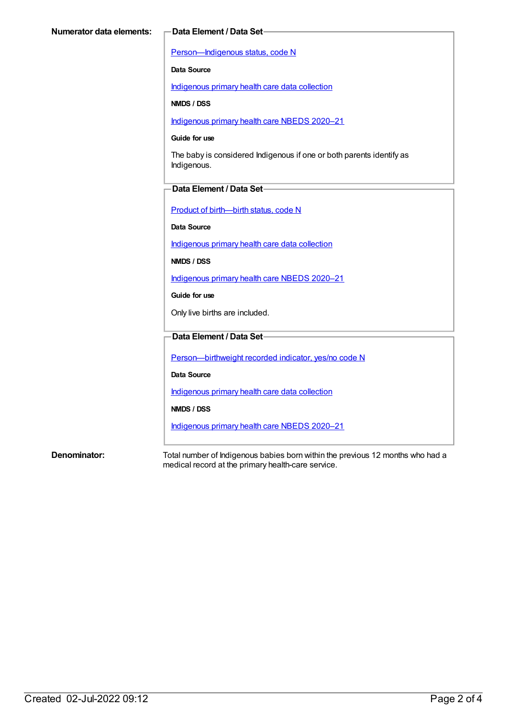[Person—Indigenous](https://meteor.aihw.gov.au/content/602543) status, code N

**Data Source**

[Indigenous](https://meteor.aihw.gov.au/content/430643) primary health care data collection

**NMDS / DSS**

[Indigenous](https://meteor.aihw.gov.au/content/715320) primary health care NBEDS 2020–21

#### **Guide for use**

The baby is considered Indigenous if one or both parents identify as Indigenous.

### **Data Element / Data Set**

Product of [birth—birth](https://meteor.aihw.gov.au/content/695437) status, code N

**Data Source**

[Indigenous](https://meteor.aihw.gov.au/content/430643) primary health care data collection

**NMDS / DSS**

[Indigenous](https://meteor.aihw.gov.au/content/715320) primary health care NBEDS 2020–21

**Guide for use**

Only live births are included.

### **Data Element / Data Set**

[Person—birthweight](https://meteor.aihw.gov.au/content/709571) recorded indicator, yes/no code N

**Data Source**

[Indigenous](https://meteor.aihw.gov.au/content/430643) primary health care data collection

**NMDS / DSS**

[Indigenous](https://meteor.aihw.gov.au/content/715320) primary health care NBEDS 2020–21

**Denominator:** Total number of Indigenous babies born within the previous 12 months who had a medical record at the primary health-care service.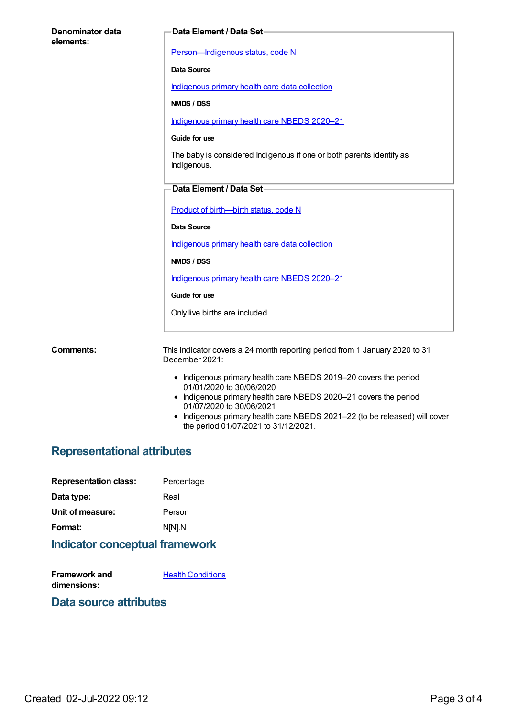| Denominator data<br>elements: | Data Element / Data Set-                                                                      |
|-------------------------------|-----------------------------------------------------------------------------------------------|
|                               | Person-Indigenous status, code N                                                              |
|                               | <b>Data Source</b>                                                                            |
|                               | Indigenous primary health care data collection                                                |
|                               | NMDS / DSS                                                                                    |
|                               | Indigenous primary health care NBEDS 2020-21                                                  |
|                               | Guide for use                                                                                 |
|                               | The baby is considered Indigenous if one or both parents identify as<br>Indigenous.           |
|                               | Data Element / Data Set-                                                                      |
|                               | Product of birth-birth status, code N                                                         |
|                               | <b>Data Source</b>                                                                            |
|                               | Indigenous primary health care data collection                                                |
|                               | NMDS / DSS                                                                                    |
|                               | Indigenous primary health care NBEDS 2020-21                                                  |
|                               | Guide for use                                                                                 |
|                               | Only live births are included.                                                                |
|                               |                                                                                               |
| <b>Comments:</b>              | This indicator covers a 24 month reporting period from 1 January 2020 to 31<br>December 2021: |
|                               | • Indigenous primary health care NBEDS 2019-20 covers the period                              |

- 01/01/2020 to 30/06/2020
- Indigenous primary health care NBEDS 2020–21 covers the period 01/07/2020 to 30/06/2021
- Indigenous primary health care NBEDS 2021–22 (to be released) will cover the period 01/07/2021 to 31/12/2021.

## **Representational attributes**

| Percentage |
|------------|
| Real       |
| Person     |
| N[N].N     |
|            |

## **Indicator conceptual framework**

| Framework and | <b>Health Conditions</b> |
|---------------|--------------------------|
| dimensions:   |                          |

## **Data source attributes**